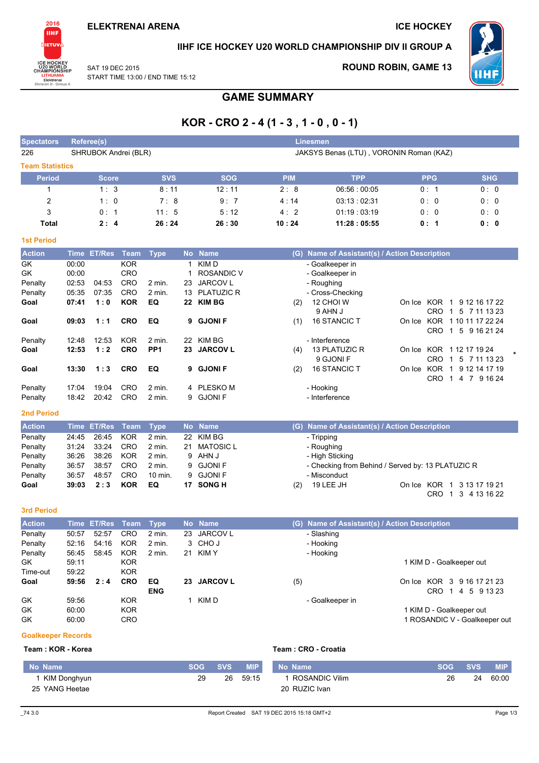

IIHF ICE HOCKEY U20 WORLD CHAMPIONSHIP DIV II GROUP A

SAT 19 DEC 2015 START TIME 13:00 / END TIME 15:12 **ROUND ROBIN, GAME 13** 



# **GAME SUMMARY**

# $KOR - CRO 2 - 4 (1 - 3, 1 - 0, 0 - 1)$

| <b>Spectators</b>      | Referee(s)                 |             |            | Linesmen                                |                                               |            |            |  |  |  |
|------------------------|----------------------------|-------------|------------|-----------------------------------------|-----------------------------------------------|------------|------------|--|--|--|
| 226                    | SHRUBOK Andrei (BLR)       |             |            | JAKSYS Benas (LTU), VORONIN Roman (KAZ) |                                               |            |            |  |  |  |
| <b>Team Statistics</b> |                            |             |            |                                         |                                               |            |            |  |  |  |
| <b>Period</b>          | <b>Score</b>               | <b>SVS</b>  | <b>SOG</b> | <b>PIM</b>                              | <b>TPP</b>                                    | <b>PPG</b> | <b>SHG</b> |  |  |  |
|                        | 1:3                        | 8:11        | 12:11      | 2:8                                     | 06:56:00:05                                   | 0:1        | 0:0        |  |  |  |
| 2                      | 1:0                        | 7:8         | 9:7        | 4:14                                    | 03:13:02:31                                   | 0:0        | 0:0        |  |  |  |
| 3                      | 0:1                        | 11:5        | 5:12       | 4:2                                     | 01:19:03:19                                   | 0:0        | 0:0        |  |  |  |
| <b>Total</b>           | 2:4                        | 26:24       | 26:30      | 10:24                                   | 11:28:05:55                                   | 0:1        | 0: 0       |  |  |  |
| <b>1st Period</b>      |                            |             |            |                                         |                                               |            |            |  |  |  |
| <b>Action</b>          | Time ET/Res<br><b>Team</b> | <b>Type</b> | No Name    |                                         | (G) Name of Assistant(s) / Action Description |            |            |  |  |  |

| GK         | 00:00 |       | <b>KOR</b> |                   |    | KIM D             | - Goalkeeper in                                                                     |  |
|------------|-------|-------|------------|-------------------|----|-------------------|-------------------------------------------------------------------------------------|--|
| GK         | 00:00 |       | <b>CRO</b> |                   |    | <b>ROSANDIC V</b> | - Goalkeeper in                                                                     |  |
| Penalty    | 02:53 | 04:53 | <b>CRO</b> | 2 min.            | 23 | JARCOV L          | - Roughing                                                                          |  |
| Penalty    | 05:35 | 07:35 | <b>CRO</b> | $2 \text{ min}$ . | 13 | <b>PLATUZIC R</b> | - Cross-Checking                                                                    |  |
| Goal       | 07:41 | 1:0   | <b>KOR</b> | EQ                |    | 22 KIM BG         | 12 CHOI W<br>KOR<br>1 9 12 16 17 22<br>(2)<br>On Ice                                |  |
|            |       |       |            |                   |    |                   | 9 AHN J<br>CRO.<br>1 5 7 11 13 23                                                   |  |
| Goal       | 09:03 | 1:1   | <b>CRO</b> | EQ                |    | 9 GJONIF          | <b>16 STANCIC T</b><br><b>KOR</b><br>1 10 11 17 22 24<br>(1)<br>On Ice              |  |
|            |       |       |            |                   |    |                   | 1 5 9 16 21 24<br>CRO                                                               |  |
| Penalty    | 12:48 | 12:53 | <b>KOR</b> | $2 \text{ min}$ . | 22 | KIM BG            | - Interference                                                                      |  |
| Goal       | 12:53 | 1:2   | <b>CRO</b> | PP <sub>1</sub>   | 23 | <b>JARCOV L</b>   | KOR 112171924<br>13 PLATUZIC R<br>(4)<br>On Ice                                     |  |
|            |       |       |            |                   |    |                   | 9 GJONI F<br><b>CRO</b><br>5 7 11 13 23<br>1                                        |  |
| Goal       | 13:30 | 1:3   | <b>CRO</b> | EQ                |    | 9 GJONIF          | <b>KOR</b><br><b>16 STANCIC T</b><br>9 12 14 17 19<br>(2)<br>On Ice<br>$\mathbf{1}$ |  |
|            |       |       |            |                   |    |                   | CRO.<br>4 7<br>9 16 24<br>$\mathbf{1}$                                              |  |
| Penalty    | 17:04 | 19:04 | <b>CRO</b> | 2 min.            |    | 4 PLESKOM         | - Hooking                                                                           |  |
| Penalty    | 18:42 | 20:42 | <b>CRO</b> | 2 min.            |    | 9 GJONI F         | - Interference                                                                      |  |
| 2nd Period |       |       |            |                   |    |                   |                                                                                     |  |

| <b>Action</b> |       | Time ET/Res Team Type |            |                   | No Name      | (G) Name of Assistant(s) / Action Description                           |  |
|---------------|-------|-----------------------|------------|-------------------|--------------|-------------------------------------------------------------------------|--|
| Penalty       | 24:45 | 26:45                 | KOR        | $2 \text{ min.}$  | 22 KIM BG    | - Tripping                                                              |  |
| Penalty       | 31:24 | 33:24                 | <b>CRO</b> | 2 min.            | 21 MATOSIC L | - Roughing                                                              |  |
| Penalty       | 36:26 | 38:26                 | KOR        | 2 min.            | 9 AHN J      | - High Sticking                                                         |  |
| Penalty       | 36:57 | 38:57                 | <b>CRO</b> | $2 \text{ min}$ . | 9 GJONI F    | - Checking from Behind / Served by: 13 PLATUZIC R                       |  |
| Penalty       | 36:57 | 48:57                 | <b>CRO</b> | 10 min.           | 9 GJONI F    | - Misconduct                                                            |  |
| Goal          | 39:03 | 2:3                   | <b>KOR</b> | EQ                | 17 SONG H    | On Ice KOR 1 3 13 17 19 21<br>19 LEE JH<br>(2)<br>1 3 4 13 16 22<br>CRO |  |

#### 3rd Period

| <b>Action</b> |       | Time ET/Res Team |            | Type              |     | No Name         | (G) Name of Assistant(s) / Action Description |                               |  |  |  |
|---------------|-------|------------------|------------|-------------------|-----|-----------------|-----------------------------------------------|-------------------------------|--|--|--|
| Penalty       | 50:57 | 52:57            | <b>CRO</b> | $2$ min.          | 23  | JARCOV L        |                                               | - Slashing                    |  |  |  |
| Penalty       | 52:16 | 54:16            | <b>KOR</b> | $2 \text{ min}$ . |     | 3 CHOJ          |                                               | - Hooking                     |  |  |  |
| Penalty       | 56:45 | 58:45            | <b>KOR</b> | 2 min.            | 21  | KIM Y           |                                               | - Hooking                     |  |  |  |
| GK.           | 59:11 |                  | <b>KOR</b> |                   |     |                 |                                               | 1 KIM D - Goalkeeper out      |  |  |  |
| Time-out      | 59:22 |                  | <b>KOR</b> |                   |     |                 |                                               |                               |  |  |  |
| Goal          | 59:56 | 2:4              | <b>CRO</b> | EQ                | 23. | <b>JARCOV L</b> | (5)                                           | On Ice KOR 3 9 16 17 21 23    |  |  |  |
|               |       |                  |            | <b>ENG</b>        |     |                 |                                               | <b>CRO</b><br>5 9 13 23<br>4  |  |  |  |
| GK            | 59:56 |                  | <b>KOR</b> |                   |     | KIM D           |                                               | - Goalkeeper in               |  |  |  |
| GK            | 60:00 |                  | <b>KOR</b> |                   |     |                 |                                               | 1 KIM D - Goalkeeper out      |  |  |  |
| GK            | 60:00 |                  | <b>CRO</b> |                   |     |                 |                                               | 1 ROSANDIC V - Goalkeeper out |  |  |  |

### **Goalkeeper Records**

#### Team: KOR - Korea

|  |  | Team : CRO - Croatia |  |
|--|--|----------------------|--|
|  |  |                      |  |

| l No Name      | <b>SOG</b> | <b>SVS</b> | <b>MIP</b> | No Name          | <b>SOG</b> | <b>SVS</b> | <b>MIP</b> |
|----------------|------------|------------|------------|------------------|------------|------------|------------|
| KIM Donghyun   | 29         | 26         | 59:15      | 1 ROSANDIC Vilim | 26         | 24         | 60:00      |
| 25 YANG Heetae |            |            |            | 20 RUZIC Ivan    |            |            |            |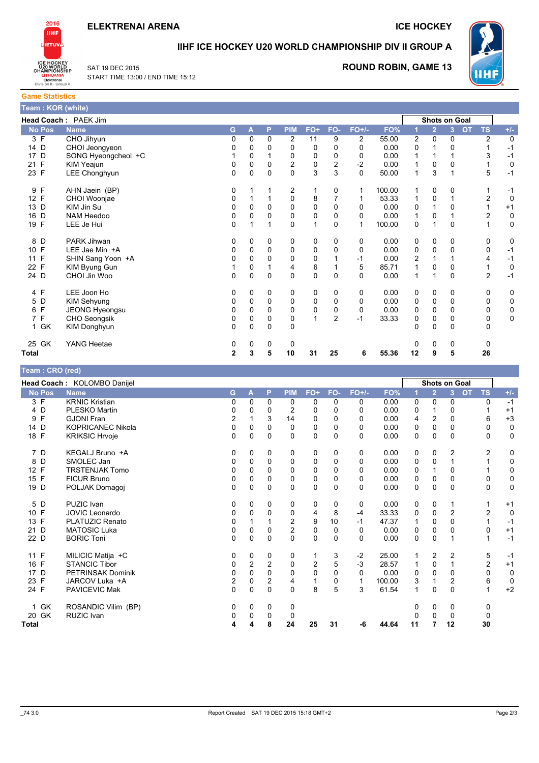

**ICE HOCKEY** 



**IIHF ICE HOCKEY U20 WORLD CHAMPIONSHIP DIV II GROUP A** 



SAT 19 DEC 2015 START TIME 13:00 / END TIME 15:12 **ROUND ROBIN, GAME 13** 

**Game Statistics** Team: KOR (white)

|                      | Head Coach: PAEK Jim |                |          |          |                |              |                |                |        |                |                | <b>Shots on Goal</b> |                        |             |
|----------------------|----------------------|----------------|----------|----------|----------------|--------------|----------------|----------------|--------|----------------|----------------|----------------------|------------------------|-------------|
| <b>No Pos</b>        | <b>Name</b>          | G.             | А        | P        | <b>PIM</b>     | FO+          | FO-            | $FO+/-$        | FO%    |                | $\overline{2}$ | 3 <sup>1</sup>       | <b>OT</b><br><b>TS</b> | $+/-$       |
| 3 F                  | CHO Jihyun           | 0              | $\Omega$ | $\Omega$ | $\overline{2}$ | 11           | 9              | $\overline{2}$ | 55.00  | $\overline{c}$ | $\Omega$       | 0                    | $\overline{2}$         | $\mathbf 0$ |
| 14 D                 | CHOI Jeongyeon       | 0              | 0        | 0        | 0              | 0            | 0              | $\Omega$       | 0.00   | 0              |                | 0                    |                        | $-1$        |
| 17 D                 | SONG Hyeongcheol +C  |                | $\Omega$ |          | 0              | 0            | 0              | 0              | 0.00   | 1              |                |                      | 3                      | $-1$        |
| F<br>21              | KIM Yeajun           | 0              | $\Omega$ | $\Omega$ | $\overline{c}$ | 0            | $\overline{c}$ | $-2$           | 0.00   | 1              | 0              | 0                    |                        | 0           |
| 23 F                 | LEE Chonghyun        | 0              | $\Omega$ | $\Omega$ | $\Omega$       | 3            | 3              | $\Omega$       | 50.00  | 1              | 3              |                      | 5                      | $-1$        |
| F<br>9               | AHN Jaein (BP)       | 0              |          |          | 2              | 1            | 0              | 1              | 100.00 |                | 0              | 0                    |                        | $-1$        |
| 12 F                 | CHOI Woonjae         | 0              |          |          | 0              | 8            |                |                | 53.33  | 1              | $\mathbf 0$    |                      | 2                      | $\mathbf 0$ |
| 13 D                 | KIM Jin Su           | 0              | $\Omega$ | 0        | 0              | 0            | 0              | $\Omega$       | 0.00   | 0              |                | 0                    |                        | $+1$        |
| D<br>16              | NAM Heedoo           | 0              | 0        | 0        | 0              | 0            | 0              | 0              | 0.00   | 1              | $\mathbf 0$    |                      | $\overline{c}$         | $\mathbf 0$ |
| 19 F                 | LEE Je Hui           | 0              |          |          | $\Omega$       | $\mathbf{1}$ | 0              | 1              | 100.00 | 0              |                | $\Omega$             | 1                      | $\mathbf 0$ |
| 8 D                  | PARK Jihwan          | 0              | 0        | 0        | 0              | 0            | 0              | 0              | 0.00   | 0              | $\mathbf 0$    | 0                    | 0                      | 0           |
| F<br>10 <sup>°</sup> | LEE Jae Min +A       | 0              | 0        | 0        | 0              | 0            | 0              | 0              | 0.00   | 0              | 0              | 0                    | 0                      | $-1$        |
| F<br>11              | SHIN Sang Yoon +A    | 0              | $\Omega$ | $\Omega$ | 0              | 0            |                | $-1$           | 0.00   | 2              |                |                      | 4                      | $-1$        |
| $\mathsf{F}$<br>22   | KIM Byung Gun        |                | 0        |          | 4              | 6            |                | 5              | 85.71  |                | 0              | 0                    | 1                      | $\pmb{0}$   |
| 24 D                 | CHOI Jin Woo         | 0              | $\Omega$ | 0        | 0              | 0            | $\Omega$       | $\Omega$       | 0.00   | 1              | 1              | 0                    | $\overline{c}$         | $-1$        |
| 4 F                  | LEE Joon Ho          | 0              | 0        | 0        | 0              | 0            | 0              | 0              | 0.00   | 0              | 0              | 0                    | 0                      | 0           |
| 5 D                  | <b>KIM Sehyung</b>   | 0              | 0        | 0        | 0              | 0            | 0              | $\Omega$       | 0.00   | 0              | 0              | 0                    | 0                      | 0           |
| 6 F                  | JEONG Hyeongsu       | 0              | 0        | 0        | 0              | 0            | 0              | 0              | 0.00   | 0              | $\mathbf 0$    | 0                    | 0                      | $\pmb{0}$   |
| 7 F                  | CHO Seongsik         | 0              | $\Omega$ | 0        | 0              | 1            | $\overline{2}$ | $-1$           | 33.33  | 0              | $\mathbf 0$    | 0                    | 0                      | 0           |
| 1 GK                 | KIM Donghyun         | 0              | $\Omega$ | 0        | 0              |              |                |                |        | 0              | $\mathbf 0$    | $\Omega$             | 0                      |             |
| 25 GK                | YANG Heetae          | 0              | 0        | 0        | 0              |              |                |                |        | 0              | 0              | 0                    | 0                      |             |
| <b>Total</b>         |                      | $\overline{2}$ | 3        | 5        | 10             | 31           | 25             | 6              | 55.36  | 12             | 9              | 5                    | 26                     |             |

#### Team: CRO (red) Head Coach: KOLOMBO Danijel **Shots on Goal** No Pos Name PIM FO- $\overline{0}$ G  $\Delta$ P  $FO+$  $FO+/-$ FO<sup>9</sup>  $3<sup>7</sup>$ **TS**  $+/ 3 F$ **KRNIC Kristian**  $\overline{\mathbf{0}}$  $\overline{0}$  $\overline{\mathbf{0}}$  $\overline{0}$  $\overline{0}$  $\overline{0}$  $\overline{\mathbf{0}}$  $0.00$  $\overline{0}$  $\overline{\mathbf{0}}$  $\overline{0}$  $\overline{\mathbf{0}}$  $-1$  $4\overline{D}$ PLESKO Martin  $\mathbf{0}$  $\overline{0}$  $\overline{0}$  $\overline{0}$  $0.00$  $\overline{0}$  $\Omega$  $\overline{2}$  $\Omega$  $\Omega$  $\mathbf{1}$  $+1$  $\overline{1}$  $Q$   $F$ **GJONI Fran**  $+3$  $\overline{2}$  $\overline{1}$  $\mathbf{B}$  $14$  $\Omega$  $\overline{0}$  $\Omega$  $0.00$  $\boldsymbol{\Delta}$  $\mathcal{P}$  $\Omega$ 6 14 D **KOPRICANEC Nikola**  $\mathbf 0$  $\mathbf 0$  $\pmb{0}$  $\mathbf 0$  $\mathbf 0$  $\mathbf 0$  $\mathbf 0$  $0.00$  $\mathbf 0$  $\mathbf 0$  $\mathbf 0$  $\mathbf 0$  $\mathbf 0$ **KRIKSIC Hrvoje** 18 F  $\Omega$  $\Omega$  $0.00$  $\mathbf{0}$  $\Omega$  $\pmb{0}$  $\mathbf 0$  $\Omega$  $\Omega$  $\mathbf 0$  $\Omega$  $\Omega$  $\Omega$ 7 D KEGALJ Bruno +A  $\overline{0}$  $\mathbf 0$  $\overline{0}$  $\mathbf 0$  $\mathbf 0$  $\overline{0}$  $\overline{0}$  $0.00$  $\mathbf 0$  $\mathbf 0$  $\overline{2}$  $\overline{2}$  $\mathbf 0$ SMOLEC Jan  $0.00$  $8<sub>D</sub>$  $\Omega$  $\Omega$  $\Omega$  $\Omega$  $\Omega$  $\Omega$  $\Omega$  $\Omega$  $\overline{1}$  $\Omega$  $\Omega$  $\overline{1}$  $12 F$ **TRSTENJAK Tomo** 0  $\mathbf 0$  $\overline{0}$  $\pmb{0}$  $\pmb{0}$  $\mathbf 0$  $\mathbf 0$  $0.00$  $\overline{0}$  $\overline{0}$  $\overline{1}$  $\mathbf 0$  $\overline{1}$ 15 F **FICUR Bruno**  $\mathbf 0$  $\mathbf 0$  $\mathbf 0$  $\mathbf 0$  $\mathbf 0$  $\mathbf 0$  $\overline{0}$  $0.00$  $\overline{0}$  $\mathbf 0$  $\overline{0}$  $\mathbf 0$  $\mathbf 0$ 19 D POLJAK Domagoj  $\mathbf 0$  $\Omega$  $0.00$  $\mathbf 0$  $\mathbf 0$  $\Omega$  $\mathbf 0$  $\mathbf 0$  $\Omega$  $\Omega$  $\Omega$  $\Omega$  $\Omega$  $5D$  $\overline{0}$  $\overline{0}$  $\overline{0}$  $\overline{0}$  $\overline{0}$  $\overline{0}$  $\overline{0}$  $0.00$  $\overline{0}$ PUZIC Ivan  $\overline{0}$  $\overline{1}$  $+1$  $\overline{1}$ 10 F JOVIC Leonardo  $\mathsf{O}\xspace$  $\Omega$  $\Omega$  $\pmb{0}$  $\overline{4}$ 8  $-4$ 33.33  $\Omega$  $\Omega$  $\mathcal{P}$  $\mathcal{P}$  $\pmb{0}$  $13 F$ PLATUZIC Renato  $\mathbf 0$  $\overline{2}$  $\overline{9}$  $10$  $-1$ 47.37  $\mathbf 0$  $\overline{0}$  $\overline{1}$  $-1$  $\overline{1}$  $\overline{1}$  $\mathbf{1}$  $21D$ **MATOSIC Luka**  $\Omega$  $\mathbf 0$  $\Omega$  $\overline{2}$  $\mathbf 0$  $\Omega$  $\mathbf 0$  $0.00$  $\overline{0}$  $\Omega$  $\mathbf 0$  $\Omega$  $+1$  $22<sub>D</sub>$ **BORIC Toni**  $\Omega$  $\Omega$  $\Omega$  $\Omega$  $\Omega$  $\Omega$  $\Omega$  $0.00$  $\Omega$  $\Omega$  $\overline{1}$  $\overline{1}$  $-1$ MILICIC Matija +C  $-2$  $\overline{5}$ 11 F  $\mathbf 0$  $\mathbf 0$ 3 25.00  $\overline{2}$  $\Omega$  $\Omega$  $\overline{1}$ 1  $\mathcal{P}$  $-1$ 16 F  $-3$ **STANCIC Tibor**  $\mathsf 0$  $\mathcal{P}$  $\overline{2}$  $\mathbf 0$  $\overline{2}$ 5 28.57  $\mathbf{1}$  $\mathbf 0$  $\mathbf{1}$  $\overline{2}$  $+1$  $17<sub>D</sub>$ PETRINSAK Dominik  $\mathbf 0$  $\mathbf 0$  $0.00$  $\mathbf 0$  $\mathbf 0$  $\mathbf 0$  $\mathbf 0$  $\mathbf 0$  $\mathbf 0$  $\mathbf 0$  $\mathbf 0$  $\mathbf 0$  $\mathbf 0$ JARCOV Luka +A  $\mathbf 0$ 100.00  $6$  $\Omega$  $23 F$  $\mathfrak{p}$  $\Omega$  $\mathcal{P}$  $\overline{\mathbf{A}}$  $\mathbf{B}$  $\mathcal{L}$  $\overline{1}$  $\overline{1}$  $\overline{1}$ 24 F PAVICEVIC Mak 0  $\mathbf 0$  $\overline{0}$  $\mathbf 0$ 8  $\overline{5}$ 3 61.54  $\mathbf{1}$  $\mathbf 0$  $\mathbf 0$  $\overline{1}$  $+2$ ROSANDIC Vilim (BP)  $\mathbf 0$  $1$  GK  $\Omega$  $\Omega$  $\Omega$  $\Omega$  $\Omega$  $\Omega$  $\Omega$ 20 GK RUZIC Ivan  $\mathsf 0$  $\mathsf{O}\xspace$  $\mathbf 0$  $\pmb{0}$  $\mathbf 0$  $\pmb{0}$  $\mathbf 0$  $\pmb{0}$  $24$ 25  $31$ 44.64 30  $\boldsymbol{\Lambda}$  $\boldsymbol{\Lambda}$ 8  $-\mathbf{G}$  $11$  $\overline{7}$  $12$

 $-743.0$